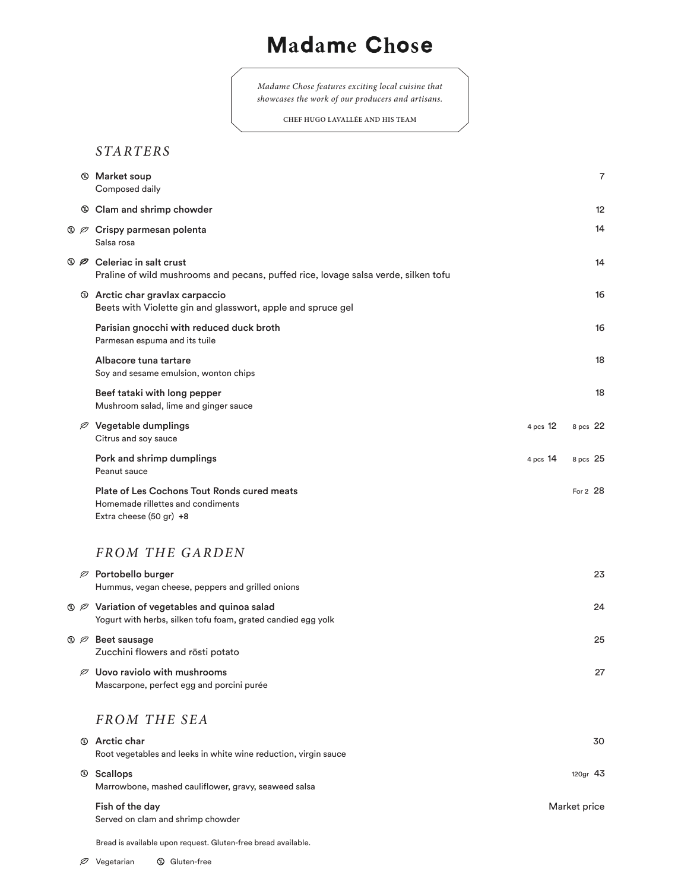## **Madame Chose**

*Madame Chose features exciting local cuisine that showcases the work of our producers and artisans.*

**CHEF HUGO LAVALLÉE AND HIS TEAM**

## *STARTERS*

|                | <b>Market soup</b><br>Composed daily                                                                                 |            | $\overline{7}$ |
|----------------|----------------------------------------------------------------------------------------------------------------------|------------|----------------|
|                | © Clam and shrimp chowder                                                                                            |            | 12             |
| $\circledcirc$ | Crispy parmesan polenta<br>Salsa rosa                                                                                |            | 14             |
| $\circledcirc$ | Celeriac in salt crust<br>Praline of wild mushrooms and pecans, puffed rice, lovage salsa verde, silken tofu         |            | 14             |
|                | <b>19 Arctic char gravlax carpaccio</b><br>Beets with Violette gin and glasswort, apple and spruce gel               |            | 16             |
|                | Parisian gnocchi with reduced duck broth<br>Parmesan espuma and its tuile                                            |            | 16             |
|                | Albacore tuna tartare<br>Soy and sesame emulsion, wonton chips                                                       |            | 18             |
|                | Beef tataki with long pepper<br>Mushroom salad, lime and ginger sauce                                                |            | 18             |
| Ø              | Vegetable dumplings<br>Citrus and soy sauce                                                                          | 4 pcs 12   | 8 pcs 22       |
|                | Pork and shrimp dumplings<br>Peanut sauce                                                                            | 4 pcs $14$ | 8 pcs 25       |
|                | <b>Plate of Les Cochons Tout Ronds cured meats</b><br>Homemade rillettes and condiments<br>Extra cheese (50 gr) +8   |            | For 2 28       |
|                | <b>FROM THE GARDEN</b>                                                                                               |            |                |
| Ø              | Portobello burger<br>Hummus, vegan cheese, peppers and grilled onions                                                |            | 23             |
|                | $\circledR$ Variation of vegetables and quinoa salad<br>Yogurt with herbs, silken tofu foam, grated candied egg yolk |            | 24             |
|                | $\mathbb{Q}$ $\varnothing$ Beet sausage<br>Zucchini flowers and rösti potato                                         |            | 25             |
| Ø              | Uovo raviolo with mushrooms<br>Mascarpone, perfect egg and porcini purée                                             |            | 27             |
|                | <b>FROM THE SEA</b>                                                                                                  |            |                |
| $\mathbb{C}$   | <b>Arctic char</b><br>Root vegetables and leeks in white wine reduction, virgin sauce                                |            | 30             |
| $^{\circledR}$ | <b>Scallops</b><br>Marrowbone, mashed cauliflower, gravy, seaweed salsa                                              |            | 120gr $43$     |
|                | Fish of the day<br>Served on clam and shrimp chowder                                                                 |            | Market price   |

Bread is available upon request. Gluten-free bread available.